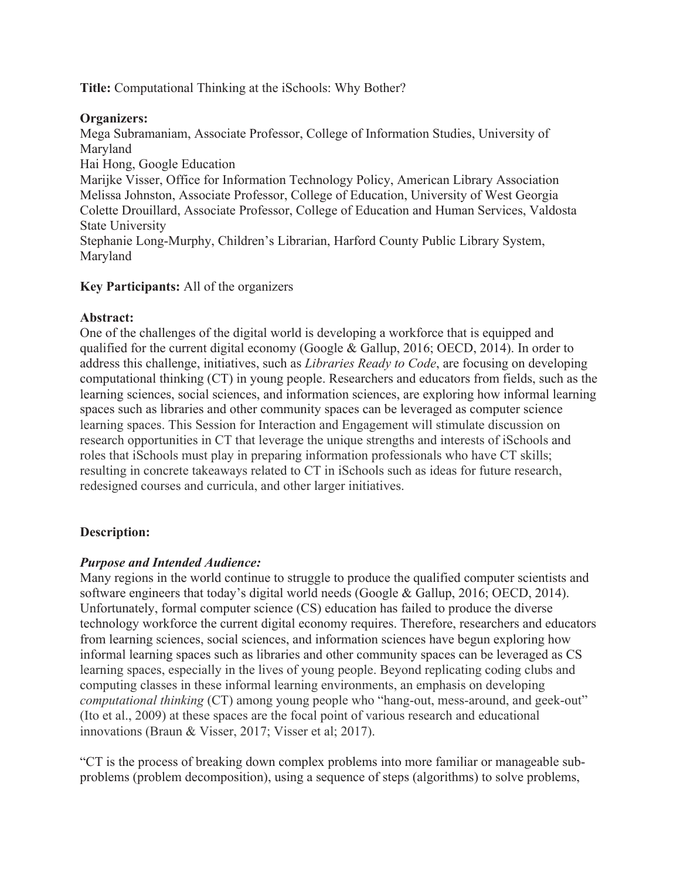**Title:** Computational Thinking at the iSchools: Why Bother?

#### **Organizers:**

Mega Subramaniam, Associate Professor, College of Information Studies, University of Maryland

Hai Hong, Google Education

Marijke Visser, Office for Information Technology Policy, American Library Association Melissa Johnston, Associate Professor, College of Education, University of West Georgia Colette Drouillard, Associate Professor, College of Education and Human Services, Valdosta State University

Stephanie Long-Murphy, Children's Librarian, Harford County Public Library System, Maryland

## **Key Participants:** All of the organizers

#### **Abstract:**

One of the challenges of the digital world is developing a workforce that is equipped and qualified for the current digital economy (Google & Gallup, 2016; OECD, 2014). In order to address this challenge, initiatives, such as *Libraries Ready to Code*, are focusing on developing computational thinking (CT) in young people. Researchers and educators from fields, such as the learning sciences, social sciences, and information sciences, are exploring how informal learning spaces such as libraries and other community spaces can be leveraged as computer science learning spaces. This Session for Interaction and Engagement will stimulate discussion on research opportunities in CT that leverage the unique strengths and interests of iSchools and roles that iSchools must play in preparing information professionals who have CT skills; resulting in concrete takeaways related to CT in iSchools such as ideas for future research, redesigned courses and curricula, and other larger initiatives.

## **Description:**

## *Purpose and Intended Audience:*

Many regions in the world continue to struggle to produce the qualified computer scientists and software engineers that today's digital world needs (Google & Gallup, 2016; OECD, 2014). Unfortunately, formal computer science (CS) education has failed to produce the diverse technology workforce the current digital economy requires. Therefore, researchers and educators from learning sciences, social sciences, and information sciences have begun exploring how informal learning spaces such as libraries and other community spaces can be leveraged as CS learning spaces, especially in the lives of young people. Beyond replicating coding clubs and computing classes in these informal learning environments, an emphasis on developing *computational thinking* (CT) among young people who "hang-out, mess-around, and geek-out" (Ito et al., 2009) at these spaces are the focal point of various research and educational innovations (Braun & Visser, 2017; Visser et al; 2017).

"CT is the process of breaking down complex problems into more familiar or manageable subproblems (problem decomposition), using a sequence of steps (algorithms) to solve problems,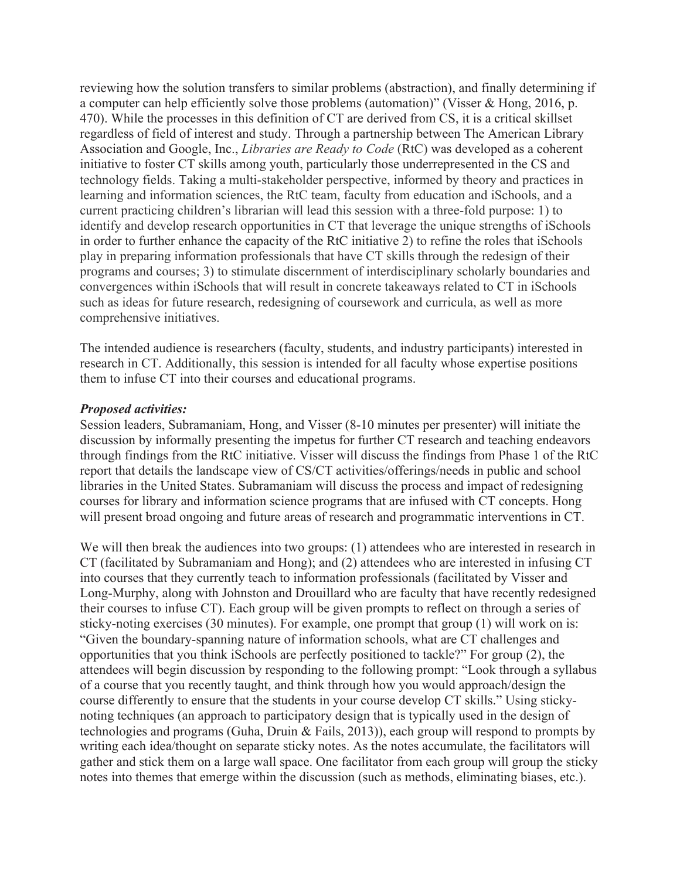reviewing how the solution transfers to similar problems (abstraction), and finally determining if a computer can help efficiently solve those problems (automation)" (Visser & Hong, 2016, p. 470). While the processes in this definition of CT are derived from CS, it is a critical skillset regardless of field of interest and study. Through a partnership between The American Library Association and Google, Inc., *Libraries are Ready to Code* (RtC) was developed as a coherent initiative to foster CT skills among youth, particularly those underrepresented in the CS and technology fields. Taking a multi-stakeholder perspective, informed by theory and practices in learning and information sciences, the RtC team, faculty from education and iSchools, and a current practicing children's librarian will lead this session with a three-fold purpose: 1) to identify and develop research opportunities in CT that leverage the unique strengths of iSchools in order to further enhance the capacity of the RtC initiative 2) to refine the roles that iSchools play in preparing information professionals that have CT skills through the redesign of their programs and courses; 3) to stimulate discernment of interdisciplinary scholarly boundaries and convergences within iSchools that will result in concrete takeaways related to CT in iSchools such as ideas for future research, redesigning of coursework and curricula, as well as more comprehensive initiatives.

The intended audience is researchers (faculty, students, and industry participants) interested in research in CT. Additionally, this session is intended for all faculty whose expertise positions them to infuse CT into their courses and educational programs.

#### *Proposed activities:*

Session leaders, Subramaniam, Hong, and Visser (8-10 minutes per presenter) will initiate the discussion by informally presenting the impetus for further CT research and teaching endeavors through findings from the RtC initiative. Visser will discuss the findings from Phase 1 of the RtC report that details the landscape view of CS/CT activities/offerings/needs in public and school libraries in the United States. Subramaniam will discuss the process and impact of redesigning courses for library and information science programs that are infused with CT concepts. Hong will present broad ongoing and future areas of research and programmatic interventions in CT.

We will then break the audiences into two groups: (1) attendees who are interested in research in CT (facilitated by Subramaniam and Hong); and (2) attendees who are interested in infusing CT into courses that they currently teach to information professionals (facilitated by Visser and Long-Murphy, along with Johnston and Drouillard who are faculty that have recently redesigned their courses to infuse CT). Each group will be given prompts to reflect on through a series of sticky-noting exercises (30 minutes). For example, one prompt that group (1) will work on is: "Given the boundary-spanning nature of information schools, what are CT challenges and opportunities that you think iSchools are perfectly positioned to tackle?" For group (2), the attendees will begin discussion by responding to the following prompt: "Look through a syllabus of a course that you recently taught, and think through how you would approach/design the course differently to ensure that the students in your course develop CT skills." Using stickynoting techniques (an approach to participatory design that is typically used in the design of technologies and programs (Guha, Druin & Fails, 2013)), each group will respond to prompts by writing each idea/thought on separate sticky notes. As the notes accumulate, the facilitators will gather and stick them on a large wall space. One facilitator from each group will group the sticky notes into themes that emerge within the discussion (such as methods, eliminating biases, etc.).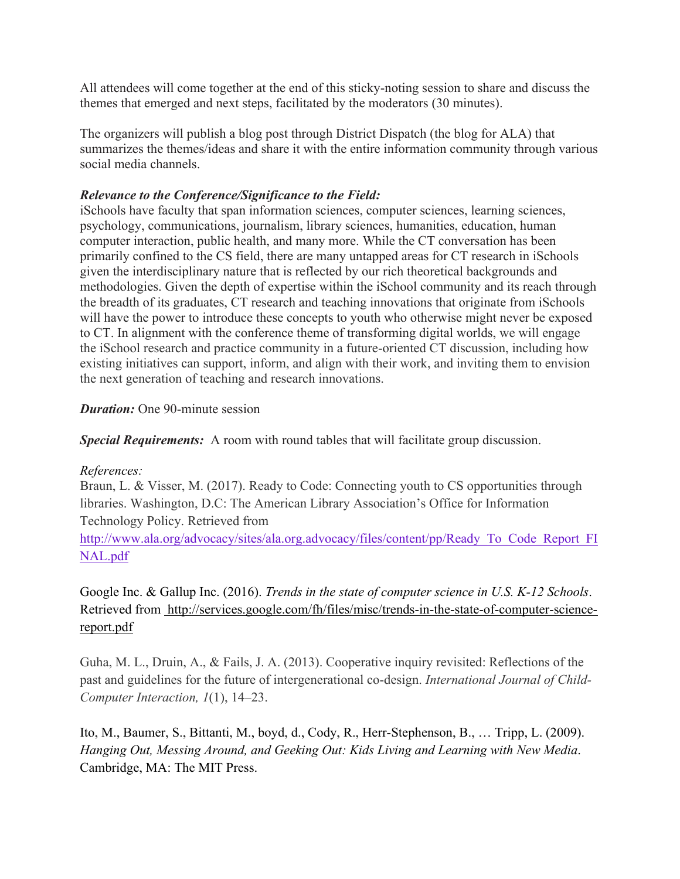All attendees will come together at the end of this sticky-noting session to share and discuss the themes that emerged and next steps, facilitated by the moderators (30 minutes).

The organizers will publish a blog post through District Dispatch (the blog for ALA) that summarizes the themes/ideas and share it with the entire information community through various social media channels.

# *Relevance to the Conference/Significance to the Field:*

iSchools have faculty that span information sciences, computer sciences, learning sciences, psychology, communications, journalism, library sciences, humanities, education, human computer interaction, public health, and many more. While the CT conversation has been primarily confined to the CS field, there are many untapped areas for CT research in iSchools given the interdisciplinary nature that is reflected by our rich theoretical backgrounds and methodologies. Given the depth of expertise within the iSchool community and its reach through the breadth of its graduates, CT research and teaching innovations that originate from iSchools will have the power to introduce these concepts to youth who otherwise might never be exposed to CT. In alignment with the conference theme of transforming digital worlds, we will engage the iSchool research and practice community in a future-oriented CT discussion, including how existing initiatives can support, inform, and align with their work, and inviting them to envision the next generation of teaching and research innovations.

## *Duration:* One 90-minute session

*Special Requirements:* A room with round tables that will facilitate group discussion.

## *References:*

Braun, L. & Visser, M. (2017). Ready to Code: Connecting youth to CS opportunities through libraries. Washington, D.C: The American Library Association's Office for Information Technology Policy. Retrieved from

[http://www.ala.org/advocacy/sites/ala.org.advocacy/files/content/pp/Ready\\_To\\_Code\\_Report\\_F](http://www.ala.org/advocacy/sites/ala.org.advocacy/files/content/pp/Ready_To_Code_Report_FINAL.pdf)I [NAL.pdf](http://www.ala.org/advocacy/sites/ala.org.advocacy/files/content/pp/Ready_To_Code_Report_FINAL.pdf)

Google Inc. & Gallup Inc. (2016). *Trends in the state of computer science in U.S. K-12 Schools*. Retrieved fro[m](http://www.ala.org/advocacy/sites/ala.org.advocacy/files/content/pp/Ready_To_Code_Report_FINAL.pdf) [http://services.google.com/fh/files/misc/trends-in-the-state-of-computer-science](http://services.google.com/fh/files/misc/trends-in-the-state-of-computer-science-report.pdf)[report.pdf](http://services.google.com/fh/files/misc/trends-in-the-state-of-computer-science-report.pdf)

Guha, M. L., Druin, A., & Fails, J. A. (2013). Cooperative inquiry revisited: Reflections of the past and guidelines for the future of intergenerational co-design. *International Journal of Child-Computer Interaction, 1*(1), 14–23.

Ito, M., Baumer, S., Bittanti, M., boyd, d., Cody, R., Herr-Stephenson, B., … Tripp, L. (2009). *Hanging Out, Messing Around, and Geeking Out: Kids Living and Learning with New Media*. Cambridge, MA: The MIT Press.